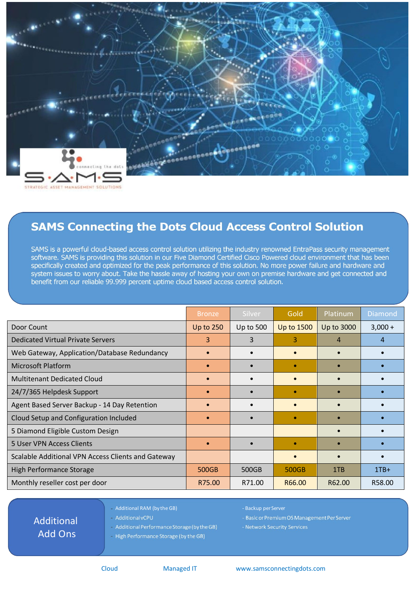

## **SAMS Connecting the Dots Cloud Access Control Solution**

SAMS is a powerful cloud-based access control solution utilizing the industry renowned EntraPass security management software. SAMS is providing this solution in our Five Diamond Certified Cisco Powered cloud environment that has been specifically created and optimized for the peak performance of this solution. No more power failure and hardware and system issues to worry about. Take the hassle away of hosting your own on premise hardware and get connected and benefit from our reliable 99.999 percent uptime cloud based access control solution.

|                                                    | <b>Bronze</b>    | Silver           | Gold              | Platinum   | <b>Diamond</b> |
|----------------------------------------------------|------------------|------------------|-------------------|------------|----------------|
| Door Count                                         | <b>Up to 250</b> | <b>Up to 500</b> | <b>Up to 1500</b> | Up to 3000 | $3,000 +$      |
| <b>Dedicated Virtual Private Servers</b>           | 3                | 3                | 3                 | 4          | 4              |
| Web Gateway, Application/Database Redundancy       |                  |                  |                   |            |                |
| <b>Microsoft Platform</b>                          |                  |                  |                   |            |                |
| <b>Multitenant Dedicated Cloud</b>                 | $\bullet$        |                  |                   |            |                |
| 24/7/365 Helpdesk Support                          |                  |                  |                   |            |                |
| Agent Based Server Backup - 14 Day Retention       |                  |                  |                   |            |                |
| Cloud Setup and Configuration Included             |                  |                  |                   |            |                |
| 5 Diamond Eligible Custom Design                   |                  |                  |                   |            |                |
| <b>5 User VPN Access Clients</b>                   |                  |                  |                   |            |                |
| Scalable Additional VPN Access Clients and Gateway |                  |                  |                   |            |                |
| <b>High Performance Storage</b>                    | 500GB            | 500GB            | 500GB             | 1TB        | $1TB+$         |
| Monthly reseller cost per door                     | R75.00           | R71.00           | R66.00            | R62.00     | R58.00         |

Additional Add Ons

- Additional vCPU
- Additional RAM (by the GB) Backup per Server
	- Basic or Premium OS Management Per Server
	- Network Security Services

Additional Performance Storage (by the GB)

High Performance Storage (by the GB)